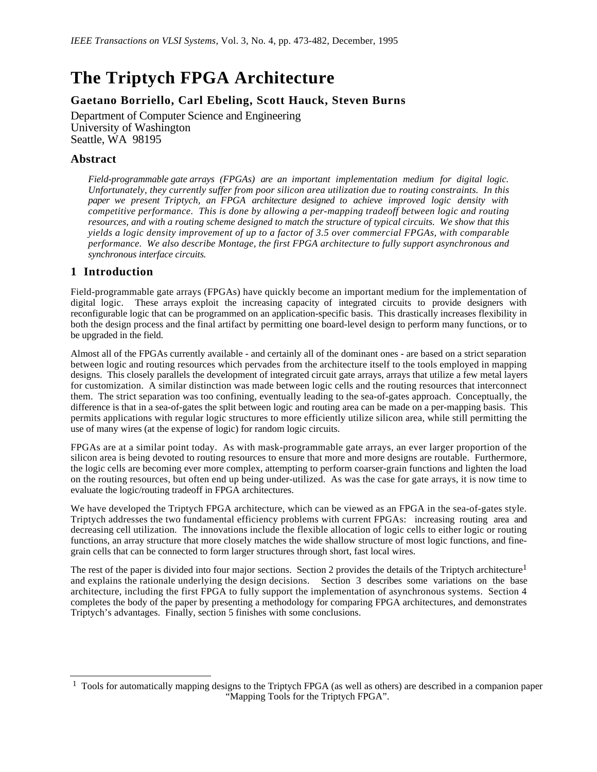# **The Triptych FPGA Architecture**

# **Gaetano Borriello, Carl Ebeling, Scott Hauck, Steven Burns**

Department of Computer Science and Engineering University of Washington Seattle, WA 98195

## **Abstract**

*Field-programmable gate arrays (FPGAs) are an important implementation medium for digital logic. Unfortunately, they currently suffer from poor silicon area utilization due to routing constraints. In this paper we present Triptych, an FPGA architecture designed to achieve improved logic density with competitive performance. This is done by allowing a per-mapping tradeoff between logic and routing resources, and with a routing scheme designed to match the structure of typical circuits. We show that this yields a logic density improvement of up to a factor of 3.5 over commercial FPGAs, with comparable performance. We also describe Montage, the first FPGA architecture to fully support asynchronous and synchronous interface circuits.*

## **1 Introduction**

 $\overline{a}$ 

Field-programmable gate arrays (FPGAs) have quickly become an important medium for the implementation of digital logic. These arrays exploit the increasing capacity of integrated circuits to provide designers with reconfigurable logic that can be programmed on an application-specific basis. This drastically increases flexibility in both the design process and the final artifact by permitting one board-level design to perform many functions, or to be upgraded in the field.

Almost all of the FPGAs currently available - and certainly all of the dominant ones - are based on a strict separation between logic and routing resources which pervades from the architecture itself to the tools employed in mapping designs. This closely parallels the development of integrated circuit gate arrays, arrays that utilize a few metal layers for customization. A similar distinction was made between logic cells and the routing resources that interconnect them. The strict separation was too confining, eventually leading to the sea-of-gates approach. Conceptually, the difference is that in a sea-of-gates the split between logic and routing area can be made on a per-mapping basis. This permits applications with regular logic structures to more efficiently utilize silicon area, while still permitting the use of many wires (at the expense of logic) for random logic circuits.

FPGAs are at a similar point today. As with mask-programmable gate arrays, an ever larger proportion of the silicon area is being devoted to routing resources to ensure that more and more designs are routable. Furthermore, the logic cells are becoming ever more complex, attempting to perform coarser-grain functions and lighten the load on the routing resources, but often end up being under-utilized. As was the case for gate arrays, it is now time to evaluate the logic/routing tradeoff in FPGA architectures.

We have developed the Triptych FPGA architecture, which can be viewed as an FPGA in the sea-of-gates style. Triptych addresses the two fundamental efficiency problems with current FPGAs: increasing routing area and decreasing cell utilization. The innovations include the flexible allocation of logic cells to either logic or routing functions, an array structure that more closely matches the wide shallow structure of most logic functions, and finegrain cells that can be connected to form larger structures through short, fast local wires.

The rest of the paper is divided into four major sections. Section 2 provides the details of the Triptych architecture<sup>1</sup> and explains the rationale underlying the design decisions. Section 3 describes some variations on the base architecture, including the first FPGA to fully support the implementation of asynchronous systems. Section 4 completes the body of the paper by presenting a methodology for comparing FPGA architectures, and demonstrates Triptych's advantages. Finally, section 5 finishes with some conclusions.

<sup>&</sup>lt;sup>1</sup> Tools for automatically mapping designs to the Triptych FPGA (as well as others) are described in a companion paper "Mapping Tools for the Triptych FPGA".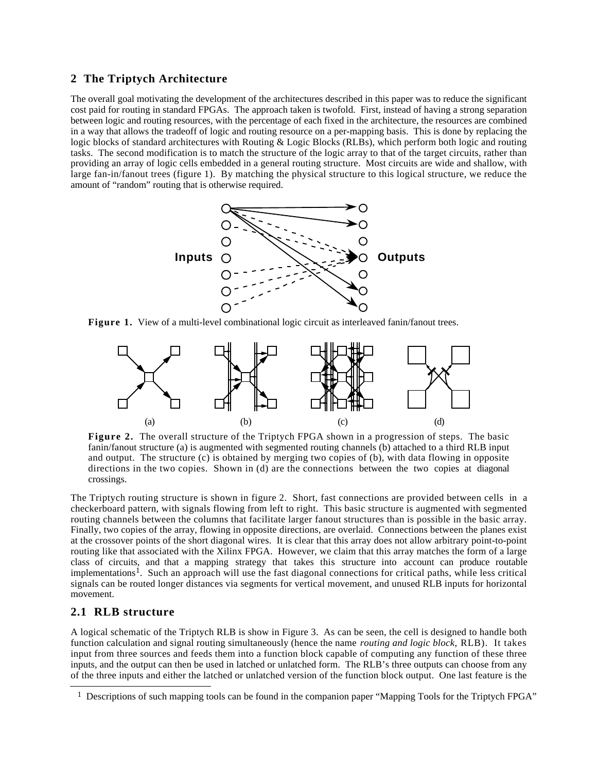#### **2 The Triptych Architecture**

The overall goal motivating the development of the architectures described in this paper was to reduce the significant cost paid for routing in standard FPGAs. The approach taken is twofold. First, instead of having a strong separation between logic and routing resources, with the percentage of each fixed in the architecture, the resources are combined in a way that allows the tradeoff of logic and routing resource on a per-mapping basis. This is done by replacing the logic blocks of standard architectures with Routing & Logic Blocks (RLBs), which perform both logic and routing tasks. The second modification is to match the structure of the logic array to that of the target circuits, rather than providing an array of logic cells embedded in a general routing structure. Most circuits are wide and shallow, with large fan-in/fanout trees (figure 1). By matching the physical structure to this logical structure, we reduce the amount of "random" routing that is otherwise required.



**Figure 1.** View of a multi-level combinational logic circuit as interleaved fanin/fanout trees.



**Figure 2.** The overall structure of the Triptych FPGA shown in a progression of steps. The basic fanin/fanout structure (a) is augmented with segmented routing channels (b) attached to a third RLB input and output. The structure (c) is obtained by merging two copies of (b), with data flowing in opposite directions in the two copies. Shown in (d) are the connections between the two copies at diagonal crossings.

The Triptych routing structure is shown in figure 2. Short, fast connections are provided between cells in a checkerboard pattern, with signals flowing from left to right. This basic structure is augmented with segmented routing channels between the columns that facilitate larger fanout structures than is possible in the basic array. Finally, two copies of the array, flowing in opposite directions, are overlaid. Connections between the planes exist at the crossover points of the short diagonal wires. It is clear that this array does not allow arbitrary point-to-point routing like that associated with the Xilinx FPGA. However, we claim that this array matches the form of a large class of circuits, and that a mapping strategy that takes this structure into account can produce routable implementations<sup>1</sup>. Such an approach will use the fast diagonal connections for critical paths, while less critical signals can be routed longer distances via segments for vertical movement, and unused RLB inputs for horizontal movement.

#### **2.1 RLB structure**

 $\overline{a}$ 

A logical schematic of the Triptych RLB is show in Figure 3. As can be seen, the cell is designed to handle both function calculation and signal routing simultaneously (hence the name *routing and logic block*, RLB). It takes input from three sources and feeds them into a function block capable of computing any function of these three inputs, and the output can then be used in latched or unlatched form. The RLB's three outputs can choose from any of the three inputs and either the latched or unlatched version of the function block output. One last feature is the

<sup>&</sup>lt;sup>1</sup> Descriptions of such mapping tools can be found in the companion paper "Mapping Tools for the Triptych FPGA"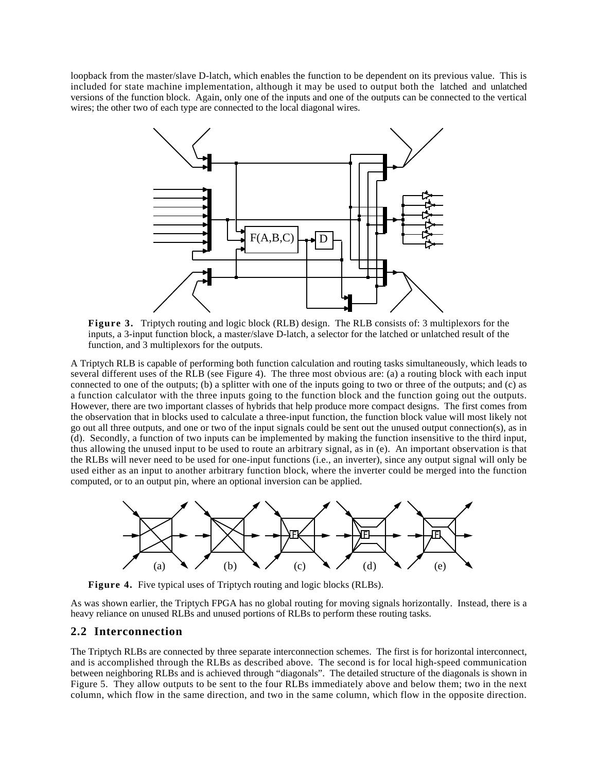loopback from the master/slave D-latch, which enables the function to be dependent on its previous value. This is included for state machine implementation, although it may be used to output both the latched and unlatched versions of the function block. Again, only one of the inputs and one of the outputs can be connected to the vertical wires; the other two of each type are connected to the local diagonal wires.



**Figure 3.** Triptych routing and logic block (RLB) design. The RLB consists of: 3 multiplexors for the inputs, a 3-input function block, a master/slave D-latch, a selector for the latched or unlatched result of the function, and 3 multiplexors for the outputs.

A Triptych RLB is capable of performing both function calculation and routing tasks simultaneously, which leads to several different uses of the RLB (see Figure 4). The three most obvious are: (a) a routing block with each input connected to one of the outputs; (b) a splitter with one of the inputs going to two or three of the outputs; and (c) as a function calculator with the three inputs going to the function block and the function going out the outputs. However, there are two important classes of hybrids that help produce more compact designs. The first comes from the observation that in blocks used to calculate a three-input function, the function block value will most likely not go out all three outputs, and one or two of the input signals could be sent out the unused output connection(s), as in (d). Secondly, a function of two inputs can be implemented by making the function insensitive to the third input, thus allowing the unused input to be used to route an arbitrary signal, as in (e). An important observation is that the RLBs will never need to be used for one-input functions (i.e., an inverter), since any output signal will only be used either as an input to another arbitrary function block, where the inverter could be merged into the function computed, or to an output pin, where an optional inversion can be applied.



Figure 4. Five typical uses of Triptych routing and logic blocks (RLBs).

As was shown earlier, the Triptych FPGA has no global routing for moving signals horizontally. Instead, there is a heavy reliance on unused RLBs and unused portions of RLBs to perform these routing tasks.

## **2.2 Interconnection**

The Triptych RLBs are connected by three separate interconnection schemes. The first is for horizontal interconnect, and is accomplished through the RLBs as described above. The second is for local high-speed communication between neighboring RLBs and is achieved through "diagonals". The detailed structure of the diagonals is shown in Figure 5. They allow outputs to be sent to the four RLBs immediately above and below them; two in the next column, which flow in the same direction, and two in the same column, which flow in the opposite direction.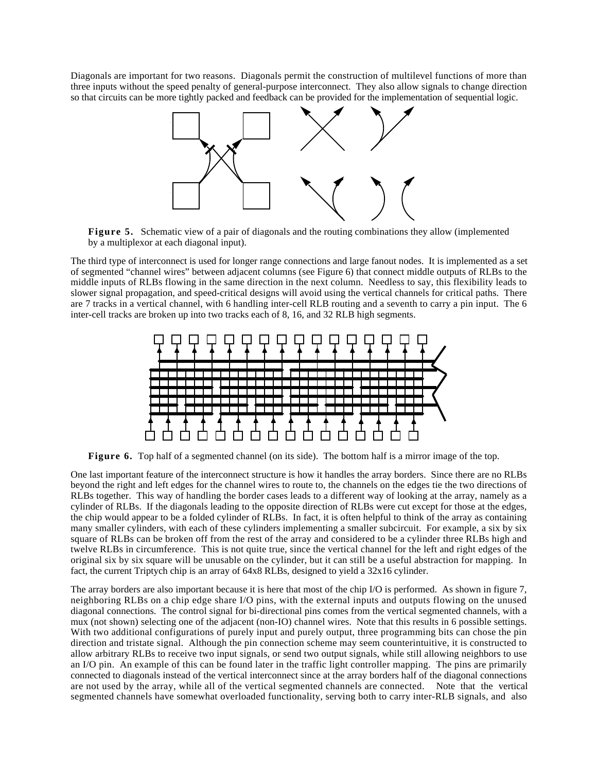Diagonals are important for two reasons. Diagonals permit the construction of multilevel functions of more than three inputs without the speed penalty of general-purpose interconnect. They also allow signals to change direction so that circuits can be more tightly packed and feedback can be provided for the implementation of sequential logic.



**Figure 5.** Schematic view of a pair of diagonals and the routing combinations they allow (implemented by a multiplexor at each diagonal input).

The third type of interconnect is used for longer range connections and large fanout nodes. It is implemented as a set of segmented "channel wires" between adjacent columns (see Figure 6) that connect middle outputs of RLBs to the middle inputs of RLBs flowing in the same direction in the next column. Needless to say, this flexibility leads to slower signal propagation, and speed-critical designs will avoid using the vertical channels for critical paths. There are 7 tracks in a vertical channel, with 6 handling inter-cell RLB routing and a seventh to carry a pin input. The 6 inter-cell tracks are broken up into two tracks each of 8, 16, and 32 RLB high segments.



**Figure 6.** Top half of a segmented channel (on its side). The bottom half is a mirror image of the top.

One last important feature of the interconnect structure is how it handles the array borders. Since there are no RLBs beyond the right and left edges for the channel wires to route to, the channels on the edges tie the two directions of RLBs together. This way of handling the border cases leads to a different way of looking at the array, namely as a cylinder of RLBs. If the diagonals leading to the opposite direction of RLBs were cut except for those at the edges, the chip would appear to be a folded cylinder of RLBs. In fact, it is often helpful to think of the array as containing many smaller cylinders, with each of these cylinders implementing a smaller subcircuit. For example, a six by six square of RLBs can be broken off from the rest of the array and considered to be a cylinder three RLBs high and twelve RLBs in circumference. This is not quite true, since the vertical channel for the left and right edges of the original six by six square will be unusable on the cylinder, but it can still be a useful abstraction for mapping. In fact, the current Triptych chip is an array of 64x8 RLBs, designed to yield a 32x16 cylinder.

The array borders are also important because it is here that most of the chip I/O is performed. As shown in figure 7, neighboring RLBs on a chip edge share I/O pins, with the external inputs and outputs flowing on the unused diagonal connections. The control signal for bi-directional pins comes from the vertical segmented channels, with a mux (not shown) selecting one of the adjacent (non-IO) channel wires. Note that this results in 6 possible settings. With two additional configurations of purely input and purely output, three programming bits can chose the pin direction and tristate signal. Although the pin connection scheme may seem counterintuitive, it is constructed to allow arbitrary RLBs to receive two input signals, or send two output signals, while still allowing neighbors to use an I/O pin. An example of this can be found later in the traffic light controller mapping. The pins are primarily connected to diagonals instead of the vertical interconnect since at the array borders half of the diagonal connections are not used by the array, while all of the vertical segmented channels are connected. Note that the vertical segmented channels have somewhat overloaded functionality, serving both to carry inter-RLB signals, and also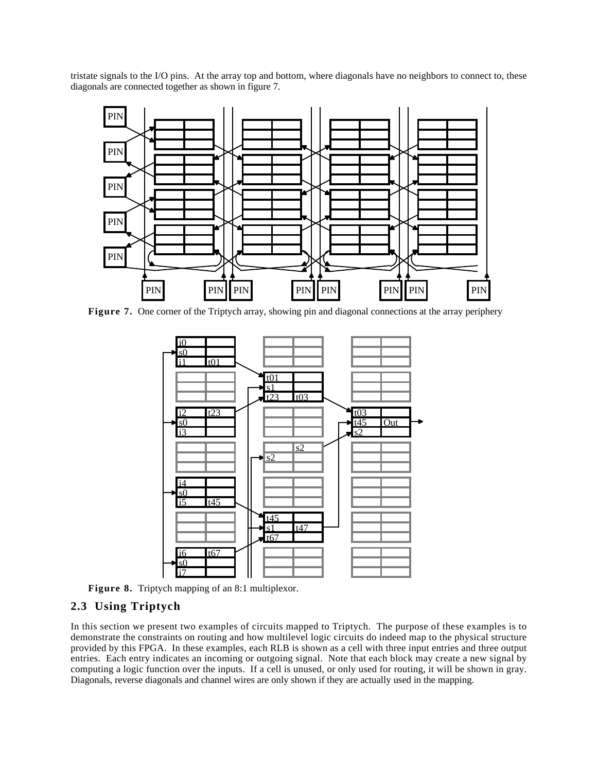tristate signals to the I/O pins. At the array top and bottom, where diagonals have no neighbors to connect to, these diagonals are connected together as shown in figure 7.



**Figure 7.** One corner of the Triptych array, showing pin and diagonal connections at the array periphery



**Figure 8.** Triptych mapping of an 8:1 multiplexor.

## **2.3 Using Triptych**

In this section we present two examples of circuits mapped to Triptych. The purpose of these examples is to demonstrate the constraints on routing and how multilevel logic circuits do indeed map to the physical structure provided by this FPGA. In these examples, each RLB is shown as a cell with three input entries and three output entries. Each entry indicates an incoming or outgoing signal. Note that each block may create a new signal by computing a logic function over the inputs. If a cell is unused, or only used for routing, it will be shown in gray. Diagonals, reverse diagonals and channel wires are only shown if they are actually used in the mapping.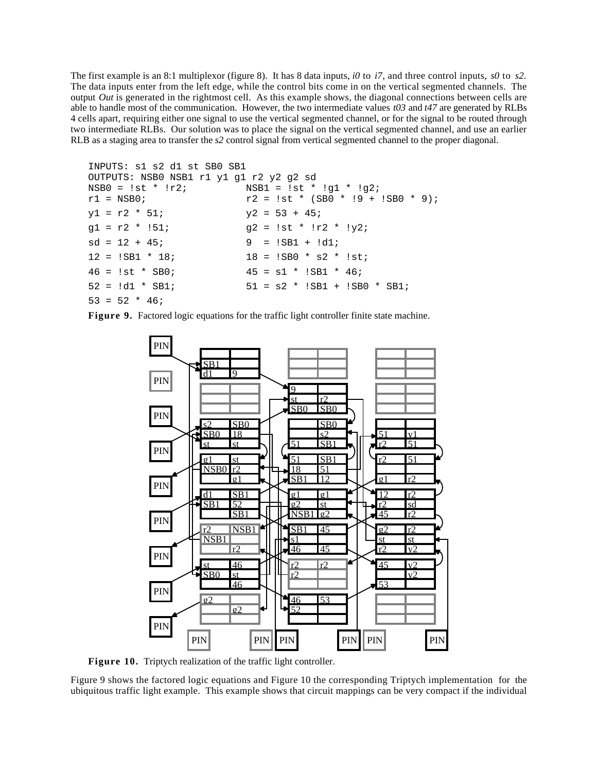The first example is an 8:1 multiplexor (figure 8). It has 8 data inputs, *i0* to *i7*, and three control inputs, *s0* to *s2*. The data inputs enter from the left edge, while the control bits come in on the vertical segmented channels. The output *Out* is generated in the rightmost cell. As this example shows, the diagonal connections between cells are able to handle most of the communication. However, the two intermediate values *t03* and *t47* are generated by RLBs 4 cells apart, requiring either one signal to use the vertical segmented channel, or for the signal to be routed through two intermediate RLBs. Our solution was to place the signal on the vertical segmented channel, and use an earlier RLB as a staging area to transfer the *s2* control signal from vertical segmented channel to the proper diagonal.

```
INPUTS: s1 s2 d1 st SB0 SB1
OUTPUTS: NSB0 NSB1 r1 y1 g1 r2 y2 g2 sd
NSB0 = 1st * 1r2; NSB1 = 1st * 1g1 * 1g2;r1 = NSB0; r2 = 1st * (SB0 * 19 + ISB0 * 9);y1 = r2 * 51; y2 = 53 + 45;gl = r2 * 151; g2 = 1st * 1r2 * 1y2;sd = 12 + 45; 9 = !SB1 + !d1;12 = 1SB1 * 18; 18 = 1SB0 * s2 * 1st;
46 = 1st * SB0; 45 = s1 * ISB1 * 46;52 = id1 * SBI; 51 = s2 * ISB1 + ISB0 * SBI;
53 = 52 * 46;
```
**Figure 9.** Factored logic equations for the traffic light controller finite state machine.



**Figure 10.** Triptych realization of the traffic light controller.

Figure 9 shows the factored logic equations and Figure 10 the corresponding Triptych implementation for the ubiquitous traffic light example. This example shows that circuit mappings can be very compact if the individual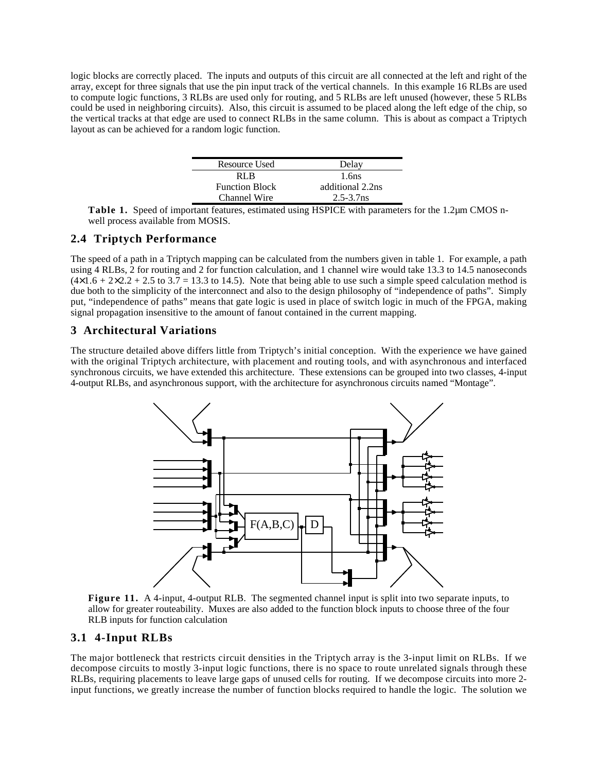logic blocks are correctly placed. The inputs and outputs of this circuit are all connected at the left and right of the array, except for three signals that use the pin input track of the vertical channels. In this example 16 RLBs are used to compute logic functions, 3 RLBs are used only for routing, and 5 RLBs are left unused (however, these 5 RLBs could be used in neighboring circuits). Also, this circuit is assumed to be placed along the left edge of the chip, so the vertical tracks at that edge are used to connect RLBs in the same column. This is about as compact a Triptych layout as can be achieved for a random logic function.

| Resource Used         | Delay            |
|-----------------------|------------------|
| RL R                  | 1.6ns            |
| <b>Function Block</b> | additional 2.2ns |
| Channel Wire          | $2.5 - 3.7$ ns   |

**Table 1.** Speed of important features, estimated using HSPICE with parameters for the 1.2µm CMOS nwell process available from MOSIS.

#### **2.4 Triptych Performance**

The speed of a path in a Triptych mapping can be calculated from the numbers given in table 1. For example, a path using 4 RLBs, 2 for routing and 2 for function calculation, and 1 channel wire would take 13.3 to 14.5 nanoseconds  $(4\times1.6 + 2\times2.2 + 2.5$  to 3.7 = 13.3 to 14.5). Note that being able to use such a simple speed calculation method is due both to the simplicity of the interconnect and also to the design philosophy of "independence of paths". Simply put, "independence of paths" means that gate logic is used in place of switch logic in much of the FPGA, making signal propagation insensitive to the amount of fanout contained in the current mapping.

## **3 Architectural Variations**

The structure detailed above differs little from Triptych's initial conception. With the experience we have gained with the original Triptych architecture, with placement and routing tools, and with asynchronous and interfaced synchronous circuits, we have extended this architecture. These extensions can be grouped into two classes, 4-input 4-output RLBs, and asynchronous support, with the architecture for asynchronous circuits named "Montage".



**Figure 11.** A 4-input, 4-output RLB. The segmented channel input is split into two separate inputs, to allow for greater routeability. Muxes are also added to the function block inputs to choose three of the four RLB inputs for function calculation

## **3.1 4-Input RLBs**

The major bottleneck that restricts circuit densities in the Triptych array is the 3-input limit on RLBs. If we decompose circuits to mostly 3-input logic functions, there is no space to route unrelated signals through these RLBs, requiring placements to leave large gaps of unused cells for routing. If we decompose circuits into more 2 input functions, we greatly increase the number of function blocks required to handle the logic. The solution we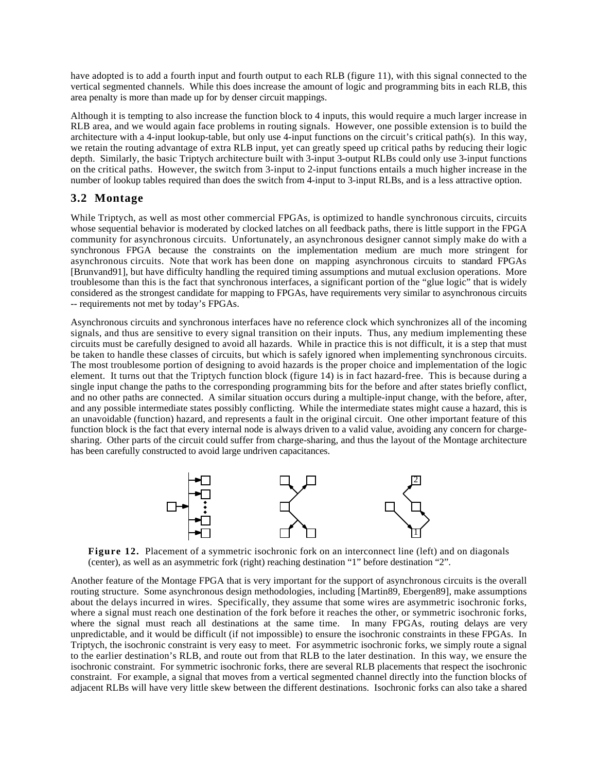have adopted is to add a fourth input and fourth output to each RLB (figure 11), with this signal connected to the vertical segmented channels. While this does increase the amount of logic and programming bits in each RLB, this area penalty is more than made up for by denser circuit mappings.

Although it is tempting to also increase the function block to 4 inputs, this would require a much larger increase in RLB area, and we would again face problems in routing signals. However, one possible extension is to build the architecture with a 4-input lookup-table, but only use 4-input functions on the circuit's critical path(s). In this way, we retain the routing advantage of extra RLB input, yet can greatly speed up critical paths by reducing their logic depth. Similarly, the basic Triptych architecture built with 3-input 3-output RLBs could only use 3-input functions on the critical paths. However, the switch from 3-input to 2-input functions entails a much higher increase in the number of lookup tables required than does the switch from 4-input to 3-input RLBs, and is a less attractive option.

## **3.2 Montage**

While Triptych, as well as most other commercial FPGAs, is optimized to handle synchronous circuits, circuits whose sequential behavior is moderated by clocked latches on all feedback paths, there is little support in the FPGA community for asynchronous circuits. Unfortunately, an asynchronous designer cannot simply make do with a synchronous FPGA because the constraints on the implementation medium are much more stringent for asynchronous circuits. Note that work has been done on mapping asynchronous circuits to standard FPGAs [Brunvand91], but have difficulty handling the required timing assumptions and mutual exclusion operations. More troublesome than this is the fact that synchronous interfaces, a significant portion of the "glue logic" that is widely considered as the strongest candidate for mapping to FPGAs, have requirements very similar to asynchronous circuits -- requirements not met by today's FPGAs.

Asynchronous circuits and synchronous interfaces have no reference clock which synchronizes all of the incoming signals, and thus are sensitive to every signal transition on their inputs. Thus, any medium implementing these circuits must be carefully designed to avoid all hazards. While in practice this is not difficult, it is a step that must be taken to handle these classes of circuits, but which is safely ignored when implementing synchronous circuits. The most troublesome portion of designing to avoid hazards is the proper choice and implementation of the logic element. It turns out that the Triptych function block (figure 14) is in fact hazard-free. This is because during a single input change the paths to the corresponding programming bits for the before and after states briefly conflict, and no other paths are connected. A similar situation occurs during a multiple-input change, with the before, after, and any possible intermediate states possibly conflicting. While the intermediate states might cause a hazard, this is an unavoidable (function) hazard, and represents a fault in the original circuit. One other important feature of this function block is the fact that every internal node is always driven to a valid value, avoiding any concern for chargesharing. Other parts of the circuit could suffer from charge-sharing, and thus the layout of the Montage architecture has been carefully constructed to avoid large undriven capacitances.



**Figure 12.** Placement of a symmetric isochronic fork on an interconnect line (left) and on diagonals (center), as well as an asymmetric fork (right) reaching destination "1" before destination "2".

Another feature of the Montage FPGA that is very important for the support of asynchronous circuits is the overall routing structure. Some asynchronous design methodologies, including [Martin89, Ebergen89], make assumptions about the delays incurred in wires. Specifically, they assume that some wires are asymmetric isochronic forks, where a signal must reach one destination of the fork before it reaches the other, or symmetric isochronic forks, where the signal must reach all destinations at the same time. In many FPGAs, routing delays are very unpredictable, and it would be difficult (if not impossible) to ensure the isochronic constraints in these FPGAs. In Triptych, the isochronic constraint is very easy to meet. For asymmetric isochronic forks, we simply route a signal to the earlier destination's RLB, and route out from that RLB to the later destination. In this way, we ensure the isochronic constraint. For symmetric isochronic forks, there are several RLB placements that respect the isochronic constraint. For example, a signal that moves from a vertical segmented channel directly into the function blocks of adjacent RLBs will have very little skew between the different destinations. Isochronic forks can also take a shared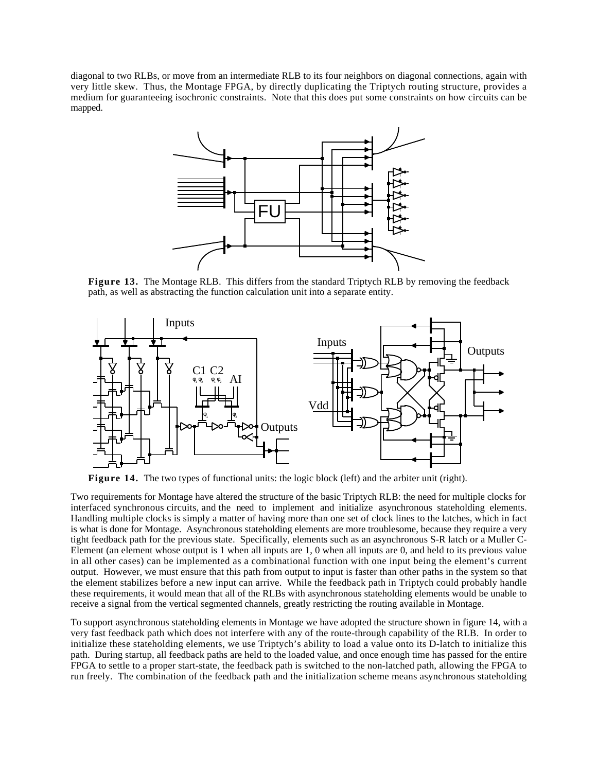diagonal to two RLBs, or move from an intermediate RLB to its four neighbors on diagonal connections, again with very little skew. Thus, the Montage FPGA, by directly duplicating the Triptych routing structure, provides a medium for guaranteeing isochronic constraints. Note that this does put some constraints on how circuits can be mapped.



**Figure 13.** The Montage RLB. This differs from the standard Triptych RLB by removing the feedback path, as well as abstracting the function calculation unit into a separate entity.



**Figure 14.** The two types of functional units: the logic block (left) and the arbiter unit (right).

Two requirements for Montage have altered the structure of the basic Triptych RLB: the need for multiple clocks for interfaced synchronous circuits, and the need to implement and initialize asynchronous stateholding elements. Handling multiple clocks is simply a matter of having more than one set of clock lines to the latches, which in fact is what is done for Montage. Asynchronous stateholding elements are more troublesome, because they require a very tight feedback path for the previous state. Specifically, elements such as an asynchronous S-R latch or a Muller C-Element (an element whose output is 1 when all inputs are 1, 0 when all inputs are 0, and held to its previous value in all other cases) can be implemented as a combinational function with one input being the element's current output. However, we must ensure that this path from output to input is faster than other paths in the system so that the element stabilizes before a new input can arrive. While the feedback path in Triptych could probably handle these requirements, it would mean that all of the RLBs with asynchronous stateholding elements would be unable to receive a signal from the vertical segmented channels, greatly restricting the routing available in Montage.

To support asynchronous stateholding elements in Montage we have adopted the structure shown in figure 14, with a very fast feedback path which does not interfere with any of the route-through capability of the RLB. In order to initialize these stateholding elements, we use Triptych's ability to load a value onto its D-latch to initialize this path. During startup, all feedback paths are held to the loaded value, and once enough time has passed for the entire FPGA to settle to a proper start-state, the feedback path is switched to the non-latched path, allowing the FPGA to run freely. The combination of the feedback path and the initialization scheme means asynchronous stateholding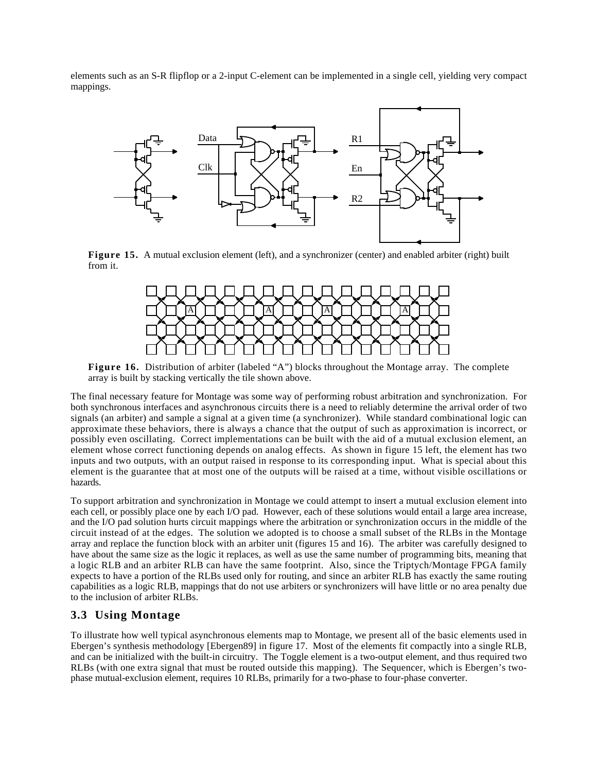elements such as an S-R flipflop or a 2-input C-element can be implemented in a single cell, yielding very compact mappings.



**Figure 15.** A mutual exclusion element (left), and a synchronizer (center) and enabled arbiter (right) built from it.



**Figure 16.** Distribution of arbiter (labeled "A") blocks throughout the Montage array. The complete array is built by stacking vertically the tile shown above.

The final necessary feature for Montage was some way of performing robust arbitration and synchronization. For both synchronous interfaces and asynchronous circuits there is a need to reliably determine the arrival order of two signals (an arbiter) and sample a signal at a given time (a synchronizer). While standard combinational logic can approximate these behaviors, there is always a chance that the output of such as approximation is incorrect, or possibly even oscillating. Correct implementations can be built with the aid of a mutual exclusion element, an element whose correct functioning depends on analog effects. As shown in figure 15 left, the element has two inputs and two outputs, with an output raised in response to its corresponding input. What is special about this element is the guarantee that at most one of the outputs will be raised at a time, without visible oscillations or hazards.

To support arbitration and synchronization in Montage we could attempt to insert a mutual exclusion element into each cell, or possibly place one by each I/O pad. However, each of these solutions would entail a large area increase, and the I/O pad solution hurts circuit mappings where the arbitration or synchronization occurs in the middle of the circuit instead of at the edges. The solution we adopted is to choose a small subset of the RLBs in the Montage array and replace the function block with an arbiter unit (figures 15 and 16). The arbiter was carefully designed to have about the same size as the logic it replaces, as well as use the same number of programming bits, meaning that a logic RLB and an arbiter RLB can have the same footprint. Also, since the Triptych/Montage FPGA family expects to have a portion of the RLBs used only for routing, and since an arbiter RLB has exactly the same routing capabilities as a logic RLB, mappings that do not use arbiters or synchronizers will have little or no area penalty due to the inclusion of arbiter RLBs.

## **3.3 Using Montage**

To illustrate how well typical asynchronous elements map to Montage, we present all of the basic elements used in Ebergen's synthesis methodology [Ebergen89] in figure 17. Most of the elements fit compactly into a single RLB, and can be initialized with the built-in circuitry. The Toggle element is a two-output element, and thus required two RLBs (with one extra signal that must be routed outside this mapping). The Sequencer, which is Ebergen's twophase mutual-exclusion element, requires 10 RLBs, primarily for a two-phase to four-phase converter.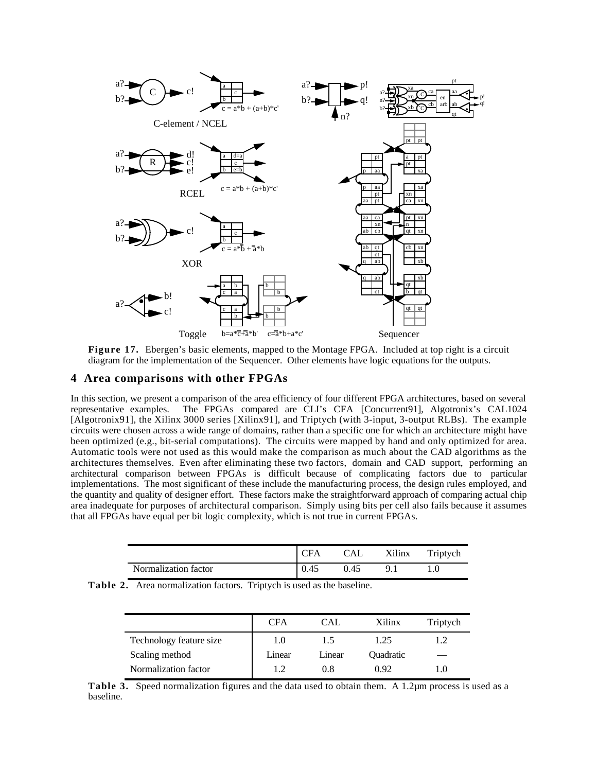

**Figure 17.** Ebergen's basic elements, mapped to the Montage FPGA. Included at top right is a circuit diagram for the implementation of the Sequencer. Other elements have logic equations for the outputs.

#### **4 Area comparisons with other FPGAs**

In this section, we present a comparison of the area efficiency of four different FPGA architectures, based on several representative examples. The FPGAs compared are CLI's CFA [Concurrent91], Algotronix's CAL1024 [Algotronix91], the Xilinx 3000 series [Xilinx91], and Triptych (with 3-input, 3-output RLBs). The example circuits were chosen across a wide range of domains, rather than a specific one for which an architecture might have been optimized (e.g., bit-serial computations). The circuits were mapped by hand and only optimized for area. Automatic tools were not used as this would make the comparison as much about the CAD algorithms as the architectures themselves. Even after eliminating these two factors, domain and CAD support, performing an architectural comparison between FPGAs is difficult because of complicating factors due to particular implementations. The most significant of these include the manufacturing process, the design rules employed, and the quantity and quality of designer effort. These factors make the straightforward approach of comparing actual chip area inadequate for purposes of architectural comparison. Simply using bits per cell also fails because it assumes that all FPGAs have equal per bit logic complexity, which is not true in current FPGAs.

|                      | CFA  | CAL  | Xilinx | Triptych |
|----------------------|------|------|--------|----------|
| Normalization factor | 0.45 | 0.45 | Q      |          |

|                         | CFA    | <b>CAL</b> | Xilinx           | Triptych |
|-------------------------|--------|------------|------------------|----------|
| Technology feature size | 1.0    | 1.5        | 1.25             |          |
| Scaling method          | Linear | Linear     | <b>Ouadratic</b> |          |
| Normalization factor    | 1.2    | 0.8        | 0.92             | l ()     |

**Table 3.** Speed normalization figures and the data used to obtain them. A 1.2µm process is used as a baseline.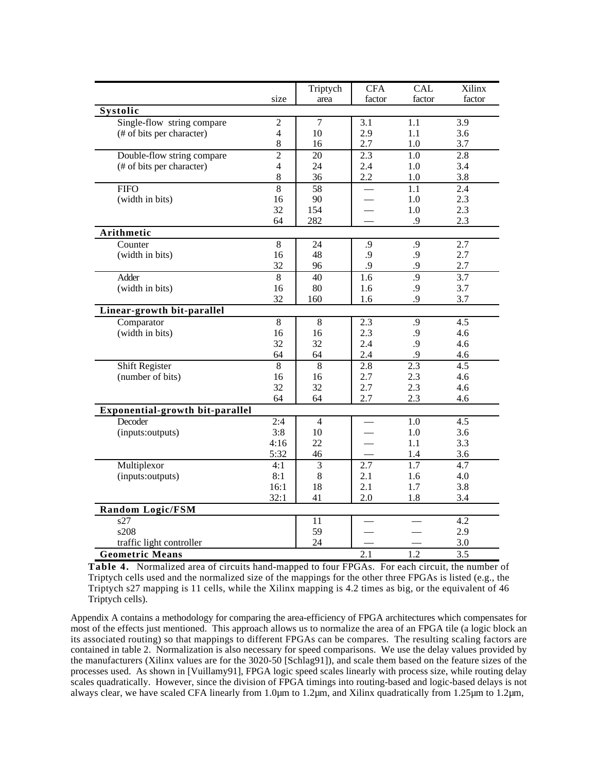|                                 |                | Triptych       | <b>CFA</b> | <b>CAL</b>       | Xilinx           |
|---------------------------------|----------------|----------------|------------|------------------|------------------|
|                                 | size           | area           | factor     | factor           | factor           |
| Systolic                        |                |                |            |                  |                  |
| Single-flow string compare      | $\sqrt{2}$     | $\overline{7}$ | 3.1        | $\overline{1.1}$ | 3.9              |
| (# of bits per character)       | $\overline{4}$ | 10             | 2.9        | 1.1              | 3.6              |
|                                 | $\,8\,$        | 16             | 2.7        | 1.0              | 3.7              |
| Double-flow string compare      | $\overline{2}$ | 20             | 2.3        | 1.0              | 2.8              |
| (# of bits per character)       | $\overline{4}$ | 24             | 2.4        | 1.0              | 3.4              |
|                                 | $\,8\,$        | 36             | 2.2        | 1.0              | 3.8              |
| <b>FIFO</b>                     | $\overline{8}$ | 58             |            | 1.1              | 2.4              |
| (width in bits)                 | 16             | 90             |            | 1.0              | 2.3              |
|                                 | 32             | 154            |            | 1.0              | 2.3              |
|                                 | 64             | 282            |            | .9               | 2.3              |
| Arithmetic                      |                |                |            |                  |                  |
| Counter                         | $\,8\,$        | 24             | .9         | .9               | $\overline{2.7}$ |
| (width in bits)                 | 16             | 48             | .9         | .9               | 2.7              |
|                                 | 32             | 96             | .9         | .9               | 2.7              |
| Adder                           | 8              | 40             | 1.6        | $\overline{.9}$  | 3.7              |
| (width in bits)                 | 16             | 80             | 1.6        | .9               | 3.7              |
|                                 | 32             | 160            | 1.6        | .9               | 3.7              |
| Linear-growth bit-parallel      |                |                |            |                  |                  |
| Comparator                      | 8              | $\,8\,$        | 2.3        | .9               | 4.5              |
| (width in bits)                 | 16<br>32       | 16<br>32       | 2.3        | .9<br>.9         | 4.6              |
|                                 | 64             | 64             | 2.4<br>2.4 | .9               | 4.6<br>4.6       |
| Shift Register                  | 8              | 8              | 2.8        | $\overline{2.3}$ | 4.5              |
| (number of bits)                | 16             | 16             | 2.7        | 2.3              | 4.6              |
|                                 | 32             | 32             | 2.7        | 2.3              | 4.6              |
|                                 | 64             | 64             | 2.7        | 2.3              | 4.6              |
| Exponential-growth bit-parallel |                |                |            |                  |                  |
| Decoder                         | 2:4            | $\overline{4}$ |            | 1.0              | 4.5              |
| (inputs:outputs)                | 3:8            | 10             |            | 1.0              | 3.6              |
|                                 | 4:16           | 22             |            | 1.1              | 3.3              |
|                                 | 5:32           | 46             |            | 1.4              | 3.6              |
| Multiplexor                     | 4:1            | 3              | 2.7        | 1.7              | 4.7              |
| (inputs:outputs)                | 8:1            | $\,8\,$        | 2.1        | 1.6              | 4.0              |
|                                 | 16:1           | 18             | 2.1        | 1.7              | 3.8              |
|                                 | 32:1           | 41             | 2.0        | 1.8              | 3.4              |
| Random Logic/FSM                |                |                |            |                  |                  |
| s27                             |                | 11             |            |                  | 4.2              |
| s208                            |                | 59             |            |                  | 2.9              |
| traffic light controller        |                | 24             |            |                  | 3.0              |
| <b>Geometric Means</b>          |                |                | 2.1        | 1.2              | 3.5              |

**Table 4.** Normalized area of circuits hand-mapped to four FPGAs. For each circuit, the number of Triptych cells used and the normalized size of the mappings for the other three FPGAs is listed (e.g., the Triptych s27 mapping is 11 cells, while the Xilinx mapping is 4.2 times as big, or the equivalent of 46 Triptych cells).

Appendix A contains a methodology for comparing the area-efficiency of FPGA architectures which compensates for most of the effects just mentioned. This approach allows us to normalize the area of an FPGA tile (a logic block an its associated routing) so that mappings to different FPGAs can be compares. The resulting scaling factors are contained in table 2. Normalization is also necessary for speed comparisons. We use the delay values provided by the manufacturers (Xilinx values are for the 3020-50 [Schlag91]), and scale them based on the feature sizes of the processes used. As shown in [Vuillamy91], FPGA logic speed scales linearly with process size, while routing delay scales quadratically. However, since the division of FPGA timings into routing-based and logic-based delays is not always clear, we have scaled CFA linearly from 1.0µm to 1.2µm, and Xilinx quadratically from 1.25µm to 1.2µm,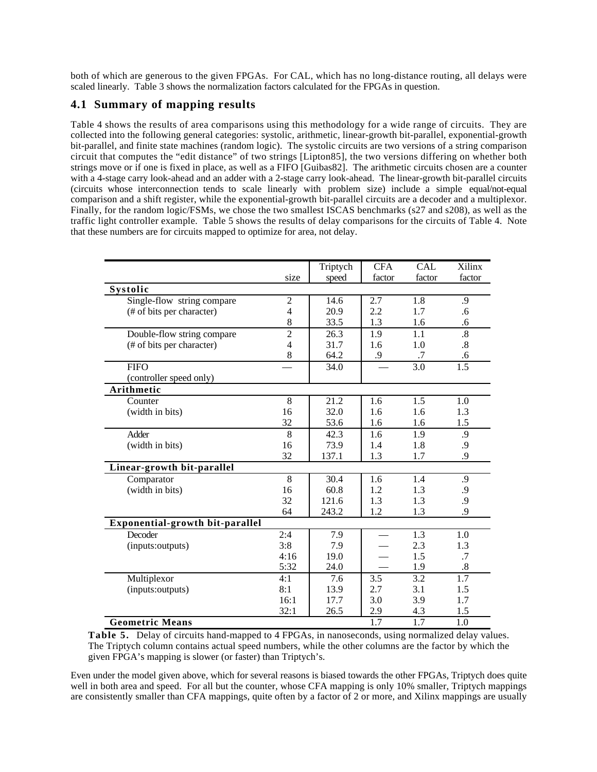both of which are generous to the given FPGAs. For CAL, which has no long-distance routing, all delays were scaled linearly. Table 3 shows the normalization factors calculated for the FPGAs in question.

# **4.1 Summary of mapping results**

Table 4 shows the results of area comparisons using this methodology for a wide range of circuits. They are collected into the following general categories: systolic, arithmetic, linear-growth bit-parallel, exponential-growth bit-parallel, and finite state machines (random logic). The systolic circuits are two versions of a string comparison circuit that computes the "edit distance" of two strings [Lipton85], the two versions differing on whether both strings move or if one is fixed in place, as well as a FIFO [Guibas82]. The arithmetic circuits chosen are a counter with a 4-stage carry look-ahead and an adder with a 2-stage carry look-ahead. The linear-growth bit-parallel circuits (circuits whose interconnection tends to scale linearly with problem size) include a simple equal/not-equal comparison and a shift register, while the exponential-growth bit-parallel circuits are a decoder and a multiplexor. Finally, for the random logic/FSMs, we chose the two smallest ISCAS benchmarks (s27 and s208), as well as the traffic light controller example. Table 5 shows the results of delay comparisons for the circuits of Table 4. Note that these numbers are for circuits mapped to optimize for area, not delay.

|                                 |                | Triptych | <b>CFA</b> | <b>CAL</b> | Xilinx            |
|---------------------------------|----------------|----------|------------|------------|-------------------|
|                                 | size           | speed    | factor     | factor     | factor            |
| Systolic                        |                |          |            |            |                   |
| Single-flow string compare      | $\overline{c}$ | 14.6     | 2.7        | 1.8        | .9                |
| (# of bits per character)       | 4              | 20.9     | 2.2        | 1.7        | .6                |
|                                 | 8              | 33.5     | 1.3        | 1.6        | .6                |
| Double-flow string compare      | $\overline{c}$ | 26.3     | 1.9        | 1.1        | $\boldsymbol{.8}$ |
| (# of bits per character)       | 4              | 31.7     | 1.6        | 1.0        | .8                |
|                                 | 8              | 64.2     | .9         | .7         | .6                |
| <b>FIFO</b>                     |                | 34.0     |            | 3.0        | 1.5               |
| (controller speed only)         |                |          |            |            |                   |
| Arithmetic                      |                |          |            |            |                   |
| Counter                         | 8              | 21.2     | 1.6        | 1.5        | 1.0               |
| (width in bits)                 | 16             | 32.0     | 1.6        | 1.6        | 1.3               |
|                                 | 32             | 53.6     | 1.6        | 1.6        | 1.5               |
| Adder                           | 8              | 42.3     | 1.6        | 1.9        | .9                |
| (width in bits)                 | 16             | 73.9     | 1.4        | 1.8        | .9                |
|                                 | 32             | 137.1    | 1.3        | 1.7        | .9                |
| Linear-growth bit-parallel      |                |          |            |            |                   |
| Comparator                      | 8              | 30.4     | 1.6        | 1.4        | .9                |
| (width in bits)                 | 16             | 60.8     | 1.2        | 1.3        | .9                |
|                                 | 32             | 121.6    | 1.3        | 1.3        | .9                |
|                                 | 64             | 243.2    | 1.2        | 1.3        | .9                |
| Exponential-growth bit-parallel |                |          |            |            |                   |
| Decoder                         | 2:4            | 7.9      |            | 1.3        | 1.0               |
| (inputs:outputs)                | 3:8            | 7.9      |            | 2.3        | 1.3               |
|                                 | 4:16           | 19.0     |            | 1.5        | .7                |
|                                 | 5:32           | 24.0     |            | 1.9        | .8                |
| Multiplexor                     | 4:1            | 7.6      | 3.5        | 3.2        | 1.7               |
| (inputs:outputs)                | 8:1            | 13.9     | 2.7        | 3.1        | 1.5               |
|                                 | 16:1           | 17.7     | 3.0        | 3.9        | 1.7               |
|                                 | 32:1           | 26.5     | 2.9        | 4.3        | 1.5               |
| <b>Geometric Means</b>          |                |          | 1.7        | 1.7        | 1.0               |

**Table 5.** Delay of circuits hand-mapped to 4 FPGAs, in nanoseconds, using normalized delay values. The Triptych column contains actual speed numbers, while the other columns are the factor by which the given FPGA's mapping is slower (or faster) than Triptych's.

Even under the model given above, which for several reasons is biased towards the other FPGAs, Triptych does quite well in both area and speed. For all but the counter, whose CFA mapping is only 10% smaller, Triptych mappings are consistently smaller than CFA mappings, quite often by a factor of 2 or more, and Xilinx mappings are usually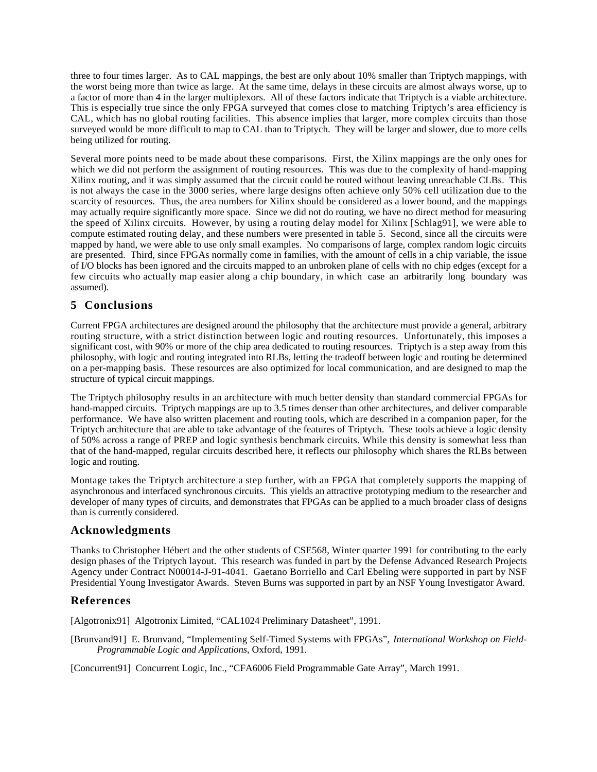three to four times larger. As to CAL mappings, the best are only about 10% smaller than Triptych mappings, with the worst being more than twice as large. At the same time, delays in these circuits are almost always worse, up to a factor of more than 4 in the larger multiplexors. All of these factors indicate that Triptych is a viable architecture. This is especially true since the only FPGA surveyed that comes close to matching Triptych's area efficiency is CAL, which has no global routing facilities. This absence implies that larger, more complex circuits than those surveyed would be more difficult to map to CAL than to Triptych. They will be larger and slower, due to more cells being utilized for routing.

Several more points need to be made about these comparisons. First, the Xilinx mappings are the only ones for which we did not perform the assignment of routing resources. This was due to the complexity of hand-mapping Xilinx routing, and it was simply assumed that the circuit could be routed without leaving unreachable CLBs. This is not always the case in the 3000 series, where large designs often achieve only 50% cell utilization due to the scarcity of resources. Thus, the area numbers for Xilinx should be considered as a lower bound, and the mappings may actually require significantly more space. Since we did not do routing, we have no direct method for measuring the speed of Xilinx circuits. However, by using a routing delay model for Xilinx [Schlag91], we were able to compute estimated routing delay, and these numbers were presented in table 5. Second, since all the circuits were mapped by hand, we were able to use only small examples. No comparisons of large, complex random logic circuits are presented. Third, since FPGAs normally come in families, with the amount of cells in a chip variable, the issue of I/O blocks has been ignored and the circuits mapped to an unbroken plane of cells with no chip edges (except for a few circuits who actually map easier along a chip boundary, in which case an arbitrarily long boundary was assumed).

## **5 Conclusions**

Current FPGA architectures are designed around the philosophy that the architecture must provide a general, arbitrary routing structure, with a strict distinction between logic and routing resources. Unfortunately, this imposes a significant cost, with 90% or more of the chip area dedicated to routing resources. Triptych is a step away from this philosophy, with logic and routing integrated into RLBs, letting the tradeoff between logic and routing be determined on a per-mapping basis. These resources are also optimized for local communication, and are designed to map the structure of typical circuit mappings.

The Triptych philosophy results in an architecture with much better density than standard commercial FPGAs for hand-mapped circuits. Triptych mappings are up to 3.5 times denser than other architectures, and deliver comparable performance. We have also written placement and routing tools, which are described in a companion paper, for the Triptych architecture that are able to take advantage of the features of Triptych. These tools achieve a logic density of 50% across a range of PREP and logic synthesis benchmark circuits. While this density is somewhat less than that of the hand-mapped, regular circuits described here, it reflects our philosophy which shares the RLBs between logic and routing.

Montage takes the Triptych architecture a step further, with an FPGA that completely supports the mapping of asynchronous and interfaced synchronous circuits. This yields an attractive prototyping medium to the researcher and developer of many types of circuits, and demonstrates that FPGAs can be applied to a much broader class of designs than is currently considered.

## **Acknowledgments**

Thanks to Christopher Hébert and the other students of CSE568, Winter quarter 1991 for contributing to the early design phases of the Triptych layout. This research was funded in part by the Defense Advanced Research Projects Agency under Contract N00014-J-91-4041. Gaetano Borriello and Carl Ebeling were supported in part by NSF Presidential Young Investigator Awards. Steven Burns was supported in part by an NSF Young Investigator Award.

## **References**

[Algotronix91] Algotronix Limited, "CAL1024 Preliminary Datasheet", 1991.

[Brunvand91] E. Brunvand, "Implementing Self-Timed Systems with FPGAs", *International Workshop on Field-Programmable Logic and Applications*, Oxford, 1991.

[Concurrent91] Concurrent Logic, Inc., "CFA6006 Field Programmable Gate Array", March 1991.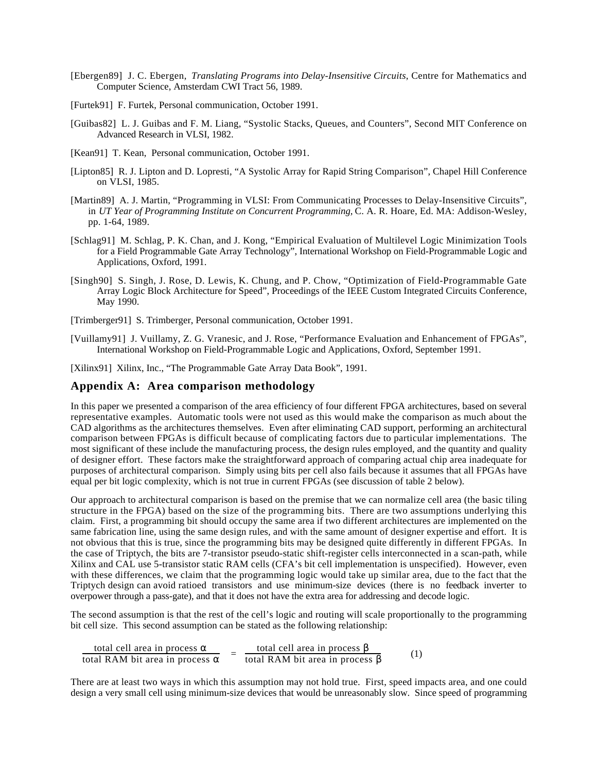- [Ebergen89] J. C. Ebergen, *Translating Programs into Delay-Insensitive Circuits*, Centre for Mathematics and Computer Science, Amsterdam CWI Tract 56, 1989.
- [Furtek91] F. Furtek, Personal communication, October 1991.
- [Guibas82] L. J. Guibas and F. M. Liang, "Systolic Stacks, Queues, and Counters", Second MIT Conference on Advanced Research in VLSI, 1982.
- [Kean91] T. Kean, Personal communication, October 1991.
- [Lipton85] R. J. Lipton and D. Lopresti, "A Systolic Array for Rapid String Comparison", Chapel Hill Conference on VLSI, 1985.
- [Martin89] A. J. Martin, "Programming in VLSI: From Communicating Processes to Delay-Insensitive Circuits", in *UT Year of Programming Institute on Concurrent Programming,* C. A. R. Hoare, Ed. MA: Addison-Wesley, pp. 1-64, 1989.
- [Schlag91] M. Schlag, P. K. Chan, and J. Kong, "Empirical Evaluation of Multilevel Logic Minimization Tools for a Field Programmable Gate Array Technology", International Workshop on Field-Programmable Logic and Applications, Oxford, 1991.
- [Singh90] S. Singh, J. Rose, D. Lewis, K. Chung, and P. Chow, "Optimization of Field-Programmable Gate Array Logic Block Architecture for Speed", Proceedings of the IEEE Custom Integrated Circuits Conference, May 1990.

[Trimberger91] S. Trimberger, Personal communication, October 1991.

[Vuillamy91] J. Vuillamy, Z. G. Vranesic, and J. Rose, "Performance Evaluation and Enhancement of FPGAs", International Workshop on Field-Programmable Logic and Applications, Oxford, September 1991.

[Xilinx91] Xilinx, Inc., "The Programmable Gate Array Data Book", 1991.

#### **Appendix A: Area comparison methodology**

In this paper we presented a comparison of the area efficiency of four different FPGA architectures, based on several representative examples. Automatic tools were not used as this would make the comparison as much about the CAD algorithms as the architectures themselves. Even after eliminating CAD support, performing an architectural comparison between FPGAs is difficult because of complicating factors due to particular implementations. The most significant of these include the manufacturing process, the design rules employed, and the quantity and quality of designer effort. These factors make the straightforward approach of comparing actual chip area inadequate for purposes of architectural comparison. Simply using bits per cell also fails because it assumes that all FPGAs have equal per bit logic complexity, which is not true in current FPGAs (see discussion of table 2 below).

Our approach to architectural comparison is based on the premise that we can normalize cell area (the basic tiling structure in the FPGA) based on the size of the programming bits. There are two assumptions underlying this claim. First, a programming bit should occupy the same area if two different architectures are implemented on the same fabrication line, using the same design rules, and with the same amount of designer expertise and effort. It is not obvious that this is true, since the programming bits may be designed quite differently in different FPGAs. In the case of Triptych, the bits are 7-transistor pseudo-static shift-register cells interconnected in a scan-path, while Xilinx and CAL use 5-transistor static RAM cells (CFA's bit cell implementation is unspecified). However, even with these differences, we claim that the programming logic would take up similar area, due to the fact that the Triptych design can avoid ratioed transistors and use minimum-size devices (there is no feedback inverter to overpower through a pass-gate), and that it does not have the extra area for addressing and decode logic.

The second assumption is that the rest of the cell's logic and routing will scale proportionally to the programming bit cell size. This second assumption can be stated as the following relationship:

| total cell area in process    | total cell area in process    |     |
|-------------------------------|-------------------------------|-----|
| total RAM bit area in process | total RAM bit area in process | (1) |

There are at least two ways in which this assumption may not hold true. First, speed impacts area, and one could design a very small cell using minimum-size devices that would be unreasonably slow. Since speed of programming